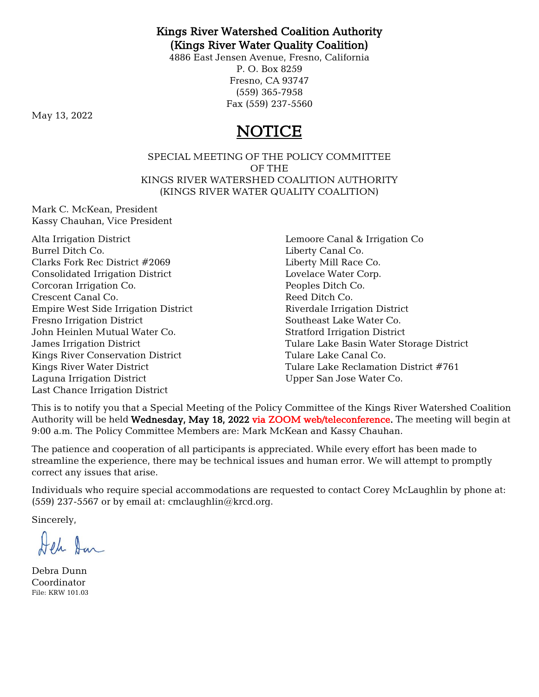## Kings River Watershed Coalition Authority (Kings River Water Quality Coalition)

4886 East Jensen Avenue, Fresno, California P. O. Box 8259 Fresno, CA 93747 (559) 365-7958 Fax (559) 237-5560

May 13, 2022

# NOTICE

SPECIAL MEETING OF THE POLICY COMMITTEE OF THE KINGS RIVER WATERSHED COALITION AUTHORITY (KINGS RIVER WATER QUALITY COALITION)

Mark C. McKean, President Kassy Chauhan, Vice President

Alta Irrigation District Burrel Ditch Co. Clarks Fork Rec District #2069 Consolidated Irrigation District Corcoran Irrigation Co. Crescent Canal Co. Empire West Side Irrigation District Fresno Irrigation District John Heinlen Mutual Water Co. James Irrigation District Kings River Conservation District Kings River Water District Laguna Irrigation District Last Chance Irrigation District

Lemoore Canal & Irrigation Co Liberty Canal Co. Liberty Mill Race Co. Lovelace Water Corp. Peoples Ditch Co. Reed Ditch Co. Riverdale Irrigation District Southeast Lake Water Co. Stratford Irrigation District Tulare Lake Basin Water Storage District Tulare Lake Canal Co. Tulare Lake Reclamation District #761 Upper San Jose Water Co.

This is to notify you that a Special Meeting of the Policy Committee of the Kings River Watershed Coalition Authority will be held Wednesday, May 18, 2022 via ZOOM web/teleconference. The meeting will begin at 9:00 a.m. The Policy Committee Members are: Mark McKean and Kassy Chauhan.

The patience and cooperation of all participants is appreciated. While every effort has been made to streamline the experience, there may be technical issues and human error. We will attempt to promptly correct any issues that arise.

Individuals who require special accommodations are requested to contact Corey McLaughlin by phone at: (559) 237-5567 or by email at: cmclaughlin@krcd.org.

Sincerely,

Jeh San

Debra Dunn Coordinator File: KRW 101.03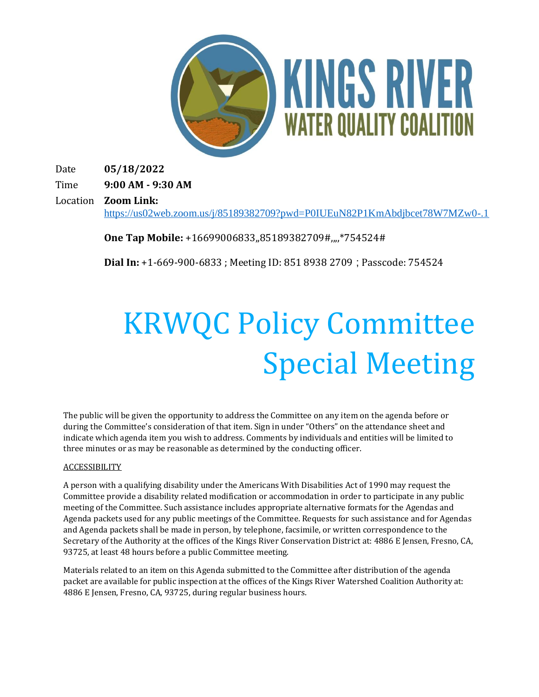

Date **05/18/2022**

Time **9:00 AM - 9:30 AM**

Location **Zoom Link:**  <https://us02web.zoom.us/j/85189382709?pwd=P0IUEuN82P1KmAbdjbcet78W7MZw0-.1>

**One Tap Mobile:** +16699006833,,85189382709#,,,,\*754524#

**Dial In:** +1-669-900-6833 ; Meeting ID: 851 8938 2709 ; Passcode: 754524

# KRWQC Policy Committee Special Meeting

The public will be given the opportunity to address the Committee on any item on the agenda before or during the Committee's consideration of that item. Sign in under "Others" on the attendance sheet and indicate which agenda item you wish to address. Comments by individuals and entities will be limited to three minutes or as may be reasonable as determined by the conducting officer.

#### ACCESSIBILITY

A person with a qualifying disability under the Americans With Disabilities Act of 1990 may request the Committee provide a disability related modification or accommodation in order to participate in any public meeting of the Committee. Such assistance includes appropriate alternative formats for the Agendas and Agenda packets used for any public meetings of the Committee. Requests for such assistance and for Agendas and Agenda packets shall be made in person, by telephone, facsimile, or written correspondence to the Secretary of the Authority at the offices of the Kings River Conservation District at: 4886 E Jensen, Fresno, CA, 93725, at least 48 hours before a public Committee meeting.

Materials related to an item on this Agenda submitted to the Committee after distribution of the agenda packet are available for public inspection at the offices of the Kings River Watershed Coalition Authority at: 4886 E Jensen, Fresno, CA, 93725, during regular business hours.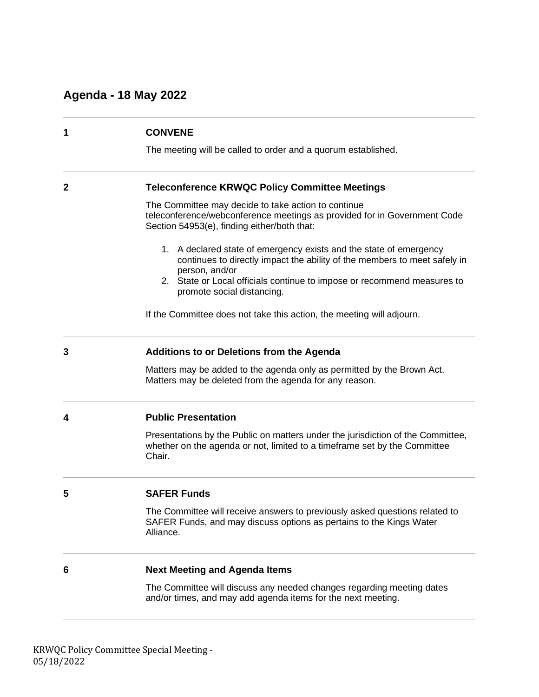## **Agenda - 18 May 2022**

| 1            | <b>CONVENE</b><br>The meeting will be called to order and a quorum established.                                                                                                                                                                                            |
|--------------|----------------------------------------------------------------------------------------------------------------------------------------------------------------------------------------------------------------------------------------------------------------------------|
| $\mathbf{2}$ | <b>Teleconference KRWQC Policy Committee Meetings</b>                                                                                                                                                                                                                      |
|              | The Committee may decide to take action to continue<br>teleconference/webconference meetings as provided for in Government Code<br>Section 54953(e), finding either/both that:                                                                                             |
|              | 1. A declared state of emergency exists and the state of emergency<br>continues to directly impact the ability of the members to meet safely in<br>person, and/or<br>2. State or Local officials continue to impose or recommend measures to<br>promote social distancing. |
|              | If the Committee does not take this action, the meeting will adjourn.                                                                                                                                                                                                      |
| 3            | <b>Additions to or Deletions from the Agenda</b>                                                                                                                                                                                                                           |
|              | Matters may be added to the agenda only as permitted by the Brown Act.<br>Matters may be deleted from the agenda for any reason.                                                                                                                                           |
| 4            | <b>Public Presentation</b>                                                                                                                                                                                                                                                 |
|              | Presentations by the Public on matters under the jurisdiction of the Committee,<br>whether on the agenda or not, limited to a timeframe set by the Committee<br>Chair.                                                                                                     |
| 5            | <b>SAFER Funds</b>                                                                                                                                                                                                                                                         |
|              | The Committee will receive answers to previously asked questions related to<br>SAFER Funds, and may discuss options as pertains to the Kings Water<br>Alliance.                                                                                                            |
| 6            | <b>Next Meeting and Agenda Items</b>                                                                                                                                                                                                                                       |
|              | The Committee will discuss any needed changes regarding meeting dates<br>and/or times, and may add agenda items for the next meeting.                                                                                                                                      |